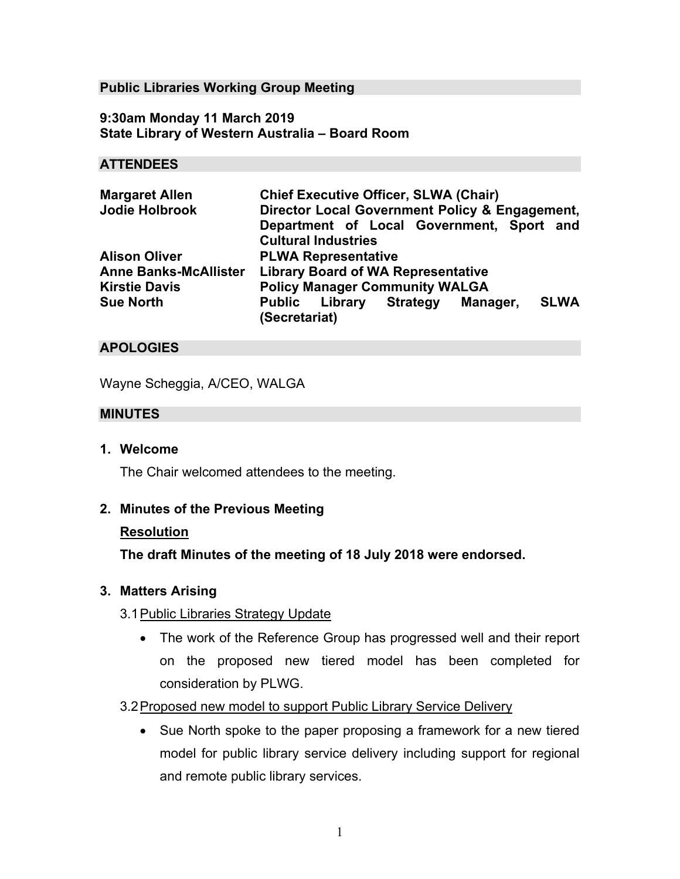### **Public Libraries Working Group Meeting**

**9:30am Monday 11 March 2019 State Library of Western Australia – Board Room** 

#### **ATTENDEES**

| <b>Margaret Allen</b>        | <b>Chief Executive Officer, SLWA (Chair)</b>              |
|------------------------------|-----------------------------------------------------------|
| Jodie Holbrook               | Director Local Government Policy & Engagement,            |
|                              | Department of Local Government, Sport and                 |
|                              | <b>Cultural Industries</b>                                |
| <b>Alison Oliver</b>         | <b>PLWA Representative</b>                                |
| <b>Anne Banks-McAllister</b> | <b>Library Board of WA Representative</b>                 |
| <b>Kirstie Davis</b>         | <b>Policy Manager Community WALGA</b>                     |
| <b>Sue North</b>             | <b>SLWA</b><br><b>Public Library Strategy</b><br>Manager, |
|                              | (Secretariat)                                             |

### **APOLOGIES**

Wayne Scheggia, A/CEO, WALGA

#### **MINUTES**

**1. Welcome** 

The Chair welcomed attendees to the meeting.

## **2. Minutes of the Previous Meeting**

#### **Resolution**

**The draft Minutes of the meeting of 18 July 2018 were endorsed.**

#### **3. Matters Arising**

## 3.1 Public Libraries Strategy Update

• The work of the Reference Group has progressed well and their report on the proposed new tiered model has been completed for consideration by PLWG.

## 3.2 Proposed new model to support Public Library Service Delivery

• Sue North spoke to the paper proposing a framework for a new tiered model for public library service delivery including support for regional and remote public library services.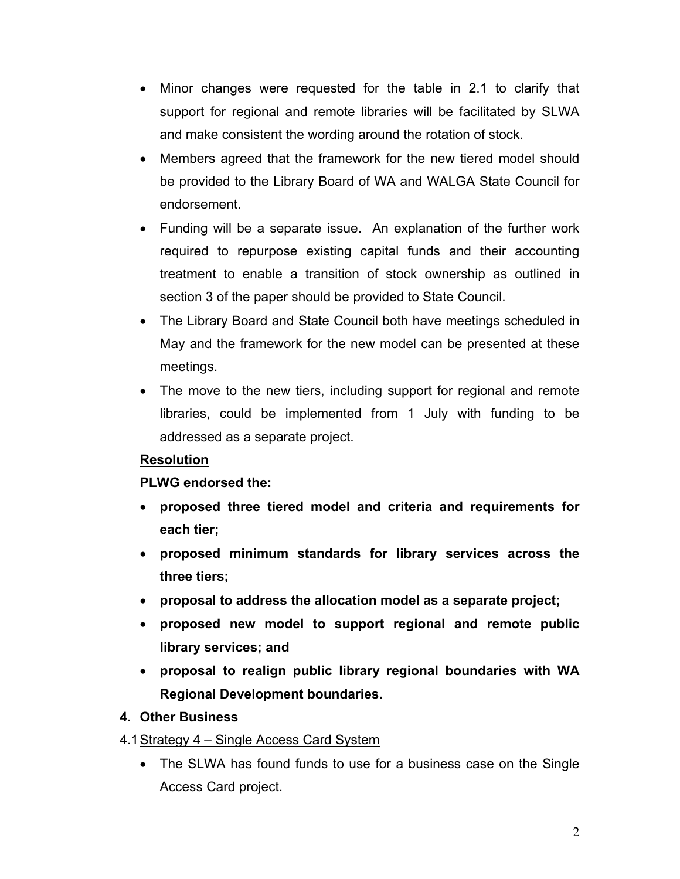- Minor changes were requested for the table in 2.1 to clarify that support for regional and remote libraries will be facilitated by SLWA and make consistent the wording around the rotation of stock.
- Members agreed that the framework for the new tiered model should be provided to the Library Board of WA and WALGA State Council for endorsement.
- Funding will be a separate issue. An explanation of the further work required to repurpose existing capital funds and their accounting treatment to enable a transition of stock ownership as outlined in section 3 of the paper should be provided to State Council.
- The Library Board and State Council both have meetings scheduled in May and the framework for the new model can be presented at these meetings.
- The move to the new tiers, including support for regional and remote libraries, could be implemented from 1 July with funding to be addressed as a separate project.

# **Resolution**

# **PLWG endorsed the:**

- **proposed three tiered model and criteria and requirements for each tier;**
- **proposed minimum standards for library services across the three tiers;**
- **proposal to address the allocation model as a separate project;**
- **proposed new model to support regional and remote public library services; and**
- **proposal to realign public library regional boundaries with WA Regional Development boundaries.**

# **4. Other Business**

- 4.1 Strategy 4 Single Access Card System
	- The SLWA has found funds to use for a business case on the Single Access Card project.